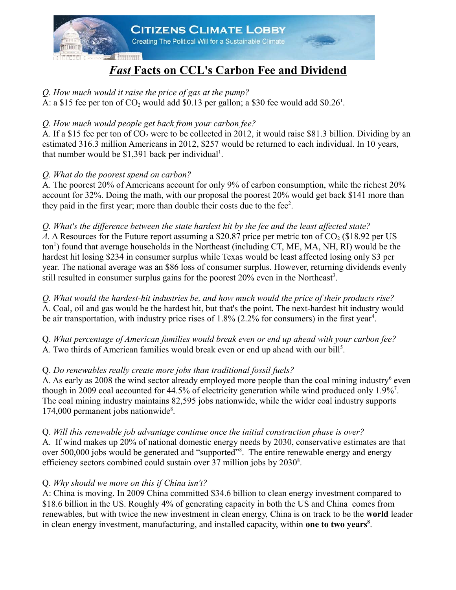

# *Fast* **Facts on CCL's Carbon Fee and Dividend**

#### *Q. How much would it raise the price of gas at the pump?*

A: a \$15 fee per ton of  $CO_2$  would add \$0.13 per gallon; a \$30 fee would add \$0.26<sup>1</sup>.

## *Q. How much would people get back from your carbon fee?*

A. If a \$15 fee per ton of  $CO<sub>2</sub>$  were to be collected in 2012, it would raise \$81.3 billion. Dividing by an estimated 316.3 million Americans in 2012, \$257 would be returned to each individual. In 10 years, that number would be  $$1,391$  back per individual<sup>1</sup>.

## *Q. What do the poorest spend on carbon?*

A. The poorest 20% of Americans account for only 9% of carbon consumption, while the richest 20% account for 32%. Doing the math, with our proposal the poorest 20% would get back \$141 more than they paid in the first year; more than double their costs due to the fee<sup>2</sup>.

*Q. What's the difference between the state hardest hit by the fee and the least affected state? A.* A Resources for the Future report assuming a \$20.87 price per metric ton of  $CO<sub>2</sub>$  (\$18.92 per US ton<sup>1</sup>) found that average households in the Northeast (including CT, ME, MA, NH, RI) would be the hardest hit losing \$234 in consumer surplus while Texas would be least affected losing only \$3 per year. The national average was an \$86 loss of consumer surplus. However, returning dividends evenly still resulted in consumer surplus gains for the poorest  $20\%$  even in the Northeast<sup>3</sup>.

*Q. What would the hardest-hit industries be, and how much would the price of their products rise?* A. Coal, oil and gas would be the hardest hit, but that's the point. The next-hardest hit industry would be air transportation, with industry price rises of  $1.8\%$  (2.2% for consumers) in the first year<sup>4</sup>.

Q. *What percentage of American families would break even or end up ahead with your carbon fee?* A. Two thirds of American families would break even or end up ahead with our bill<sup>5</sup>.

# Q. *Do renewables really create more jobs than traditional fossil fuels?*

A. As early as 2008 the wind sector already employed more people than the coal mining industry<sup>6</sup> even though in 2009 coal accounted for 44.5% of electricity generation while wind produced only 1.9%<sup>7</sup>. The coal mining industry maintains 82,595 jobs nationwide, while the wider coal industry supports 174,000 permanent jobs nationwide<sup>8</sup>.

Q. *Will this renewable job advantage continue once the initial construction phase is over?*  A. If wind makes up 20% of national domestic energy needs by 2030, conservative estimates are that over 500,000 jobs would be generated and "supported"<sup>8</sup>. The entire renewable energy and energy efficiency sectors combined could sustain over 37 million jobs by 2030<sup>8</sup>.

#### Q. *Why should we move on this if China isn't?*

A: China is moving. In 2009 China committed \$34.6 billion to clean energy investment compared to \$18.6 billion in the US. Roughly 4% of generating capacity in both the US and China comes from renewables, but with twice the new investment in clean energy, China is on track to be the **world** leader in clean energy investment, manufacturing, and installed capacity, within **one to two years<sup>8</sup>** .